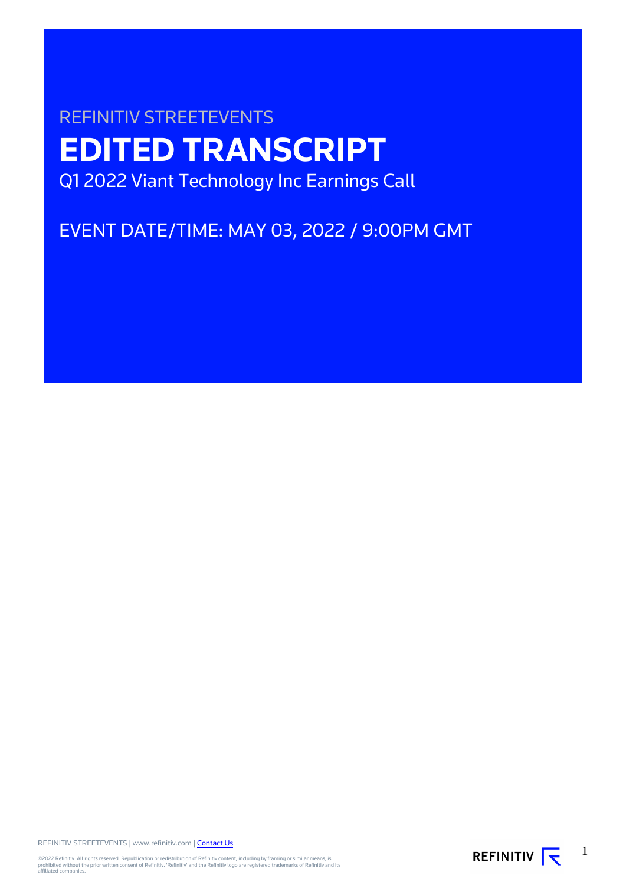# REFINITIV STREETEVENTS **EDITED TRANSCRIPT** Q1 2022 Viant Technology Inc Earnings Call

EVENT DATE/TIME: MAY 03, 2022 / 9:00PM GMT

REFINITIV STREETEVENTS | www.refinitiv.com | [Contact Us](https://www.refinitiv.com/en/contact-us)

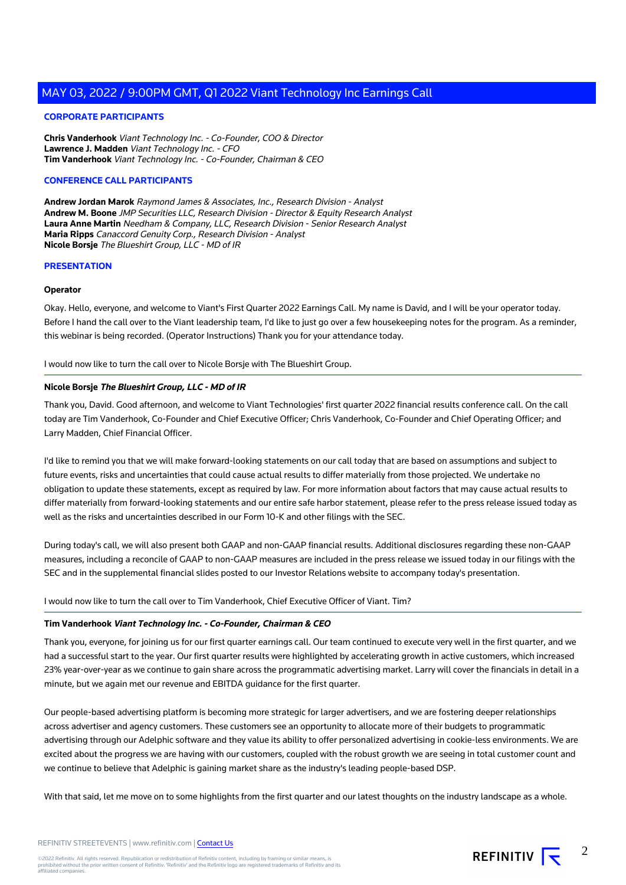# **CORPORATE PARTICIPANTS**

**Chris Vanderhook** Viant Technology Inc. - Co-Founder, COO & Director **Lawrence J. Madden** Viant Technology Inc. - CFO **Tim Vanderhook** Viant Technology Inc. - Co-Founder, Chairman & CEO

## **CONFERENCE CALL PARTICIPANTS**

**Andrew Jordan Marok** Raymond James & Associates, Inc., Research Division - Analyst **Andrew M. Boone** JMP Securities LLC, Research Division - Director & Equity Research Analyst **Laura Anne Martin** Needham & Company, LLC, Research Division - Senior Research Analyst **Maria Ripps** Canaccord Genuity Corp., Research Division - Analyst **Nicole Borsje** The Blueshirt Group, LLC - MD of IR

### **PRESENTATION**

#### **Operator**

Okay. Hello, everyone, and welcome to Viant's First Quarter 2022 Earnings Call. My name is David, and I will be your operator today. Before I hand the call over to the Viant leadership team, I'd like to just go over a few housekeeping notes for the program. As a reminder, this webinar is being recorded. (Operator Instructions) Thank you for your attendance today.

I would now like to turn the call over to Nicole Borsje with The Blueshirt Group.

## **Nicole Borsje The Blueshirt Group, LLC - MD of IR**

Thank you, David. Good afternoon, and welcome to Viant Technologies' first quarter 2022 financial results conference call. On the call today are Tim Vanderhook, Co-Founder and Chief Executive Officer; Chris Vanderhook, Co-Founder and Chief Operating Officer; and Larry Madden, Chief Financial Officer.

I'd like to remind you that we will make forward-looking statements on our call today that are based on assumptions and subject to future events, risks and uncertainties that could cause actual results to differ materially from those projected. We undertake no obligation to update these statements, except as required by law. For more information about factors that may cause actual results to differ materially from forward-looking statements and our entire safe harbor statement, please refer to the press release issued today as well as the risks and uncertainties described in our Form 10-K and other filings with the SEC.

During today's call, we will also present both GAAP and non-GAAP financial results. Additional disclosures regarding these non-GAAP measures, including a reconcile of GAAP to non-GAAP measures are included in the press release we issued today in our filings with the SEC and in the supplemental financial slides posted to our Investor Relations website to accompany today's presentation.

I would now like to turn the call over to Tim Vanderhook, Chief Executive Officer of Viant. Tim?

# **Tim Vanderhook Viant Technology Inc. - Co-Founder, Chairman & CEO**

Thank you, everyone, for joining us for our first quarter earnings call. Our team continued to execute very well in the first quarter, and we had a successful start to the year. Our first quarter results were highlighted by accelerating growth in active customers, which increased 23% year-over-year as we continue to gain share across the programmatic advertising market. Larry will cover the financials in detail in a minute, but we again met our revenue and EBITDA guidance for the first quarter.

Our people-based advertising platform is becoming more strategic for larger advertisers, and we are fostering deeper relationships across advertiser and agency customers. These customers see an opportunity to allocate more of their budgets to programmatic advertising through our Adelphic software and they value its ability to offer personalized advertising in cookie-less environments. We are excited about the progress we are having with our customers, coupled with the robust growth we are seeing in total customer count and we continue to believe that Adelphic is gaining market share as the industry's leading people-based DSP.

With that said, let me move on to some highlights from the first quarter and our latest thoughts on the industry landscape as a whole.

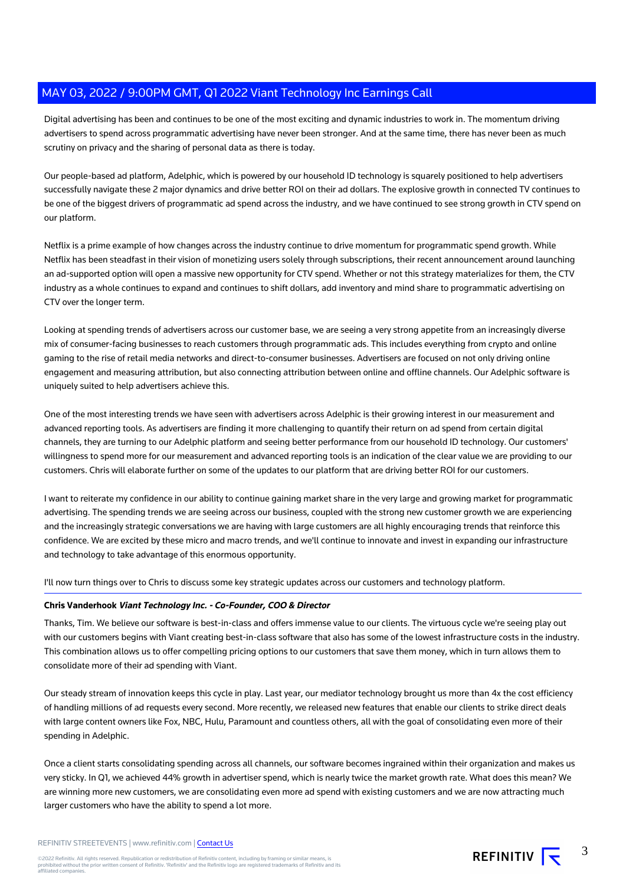Digital advertising has been and continues to be one of the most exciting and dynamic industries to work in. The momentum driving advertisers to spend across programmatic advertising have never been stronger. And at the same time, there has never been as much scrutiny on privacy and the sharing of personal data as there is today.

Our people-based ad platform, Adelphic, which is powered by our household ID technology is squarely positioned to help advertisers successfully navigate these 2 major dynamics and drive better ROI on their ad dollars. The explosive growth in connected TV continues to be one of the biggest drivers of programmatic ad spend across the industry, and we have continued to see strong growth in CTV spend on our platform.

Netflix is a prime example of how changes across the industry continue to drive momentum for programmatic spend growth. While Netflix has been steadfast in their vision of monetizing users solely through subscriptions, their recent announcement around launching an ad-supported option will open a massive new opportunity for CTV spend. Whether or not this strategy materializes for them, the CTV industry as a whole continues to expand and continues to shift dollars, add inventory and mind share to programmatic advertising on CTV over the longer term.

Looking at spending trends of advertisers across our customer base, we are seeing a very strong appetite from an increasingly diverse mix of consumer-facing businesses to reach customers through programmatic ads. This includes everything from crypto and online gaming to the rise of retail media networks and direct-to-consumer businesses. Advertisers are focused on not only driving online engagement and measuring attribution, but also connecting attribution between online and offline channels. Our Adelphic software is uniquely suited to help advertisers achieve this.

One of the most interesting trends we have seen with advertisers across Adelphic is their growing interest in our measurement and advanced reporting tools. As advertisers are finding it more challenging to quantify their return on ad spend from certain digital channels, they are turning to our Adelphic platform and seeing better performance from our household ID technology. Our customers' willingness to spend more for our measurement and advanced reporting tools is an indication of the clear value we are providing to our customers. Chris will elaborate further on some of the updates to our platform that are driving better ROI for our customers.

I want to reiterate my confidence in our ability to continue gaining market share in the very large and growing market for programmatic advertising. The spending trends we are seeing across our business, coupled with the strong new customer growth we are experiencing and the increasingly strategic conversations we are having with large customers are all highly encouraging trends that reinforce this confidence. We are excited by these micro and macro trends, and we'll continue to innovate and invest in expanding our infrastructure and technology to take advantage of this enormous opportunity.

I'll now turn things over to Chris to discuss some key strategic updates across our customers and technology platform.

# **Chris Vanderhook Viant Technology Inc. - Co-Founder, COO & Director**

Thanks, Tim. We believe our software is best-in-class and offers immense value to our clients. The virtuous cycle we're seeing play out with our customers begins with Viant creating best-in-class software that also has some of the lowest infrastructure costs in the industry. This combination allows us to offer compelling pricing options to our customers that save them money, which in turn allows them to consolidate more of their ad spending with Viant.

Our steady stream of innovation keeps this cycle in play. Last year, our mediator technology brought us more than 4x the cost efficiency of handling millions of ad requests every second. More recently, we released new features that enable our clients to strike direct deals with large content owners like Fox, NBC, Hulu, Paramount and countless others, all with the goal of consolidating even more of their spending in Adelphic.

Once a client starts consolidating spending across all channels, our software becomes ingrained within their organization and makes us very sticky. In Q1, we achieved 44% growth in advertiser spend, which is nearly twice the market growth rate. What does this mean? We are winning more new customers, we are consolidating even more ad spend with existing customers and we are now attracting much larger customers who have the ability to spend a lot more.

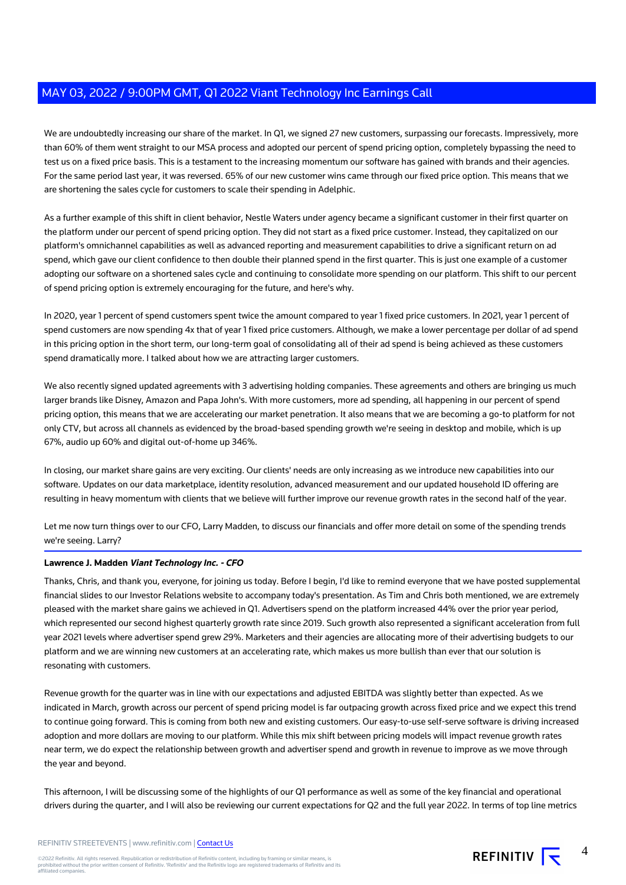We are undoubtedly increasing our share of the market. In Q1, we signed 27 new customers, surpassing our forecasts. Impressively, more than 60% of them went straight to our MSA process and adopted our percent of spend pricing option, completely bypassing the need to test us on a fixed price basis. This is a testament to the increasing momentum our software has gained with brands and their agencies. For the same period last year, it was reversed. 65% of our new customer wins came through our fixed price option. This means that we are shortening the sales cycle for customers to scale their spending in Adelphic.

As a further example of this shift in client behavior, Nestle Waters under agency became a significant customer in their first quarter on the platform under our percent of spend pricing option. They did not start as a fixed price customer. Instead, they capitalized on our platform's omnichannel capabilities as well as advanced reporting and measurement capabilities to drive a significant return on ad spend, which gave our client confidence to then double their planned spend in the first quarter. This is just one example of a customer adopting our software on a shortened sales cycle and continuing to consolidate more spending on our platform. This shift to our percent of spend pricing option is extremely encouraging for the future, and here's why.

In 2020, year 1 percent of spend customers spent twice the amount compared to year 1 fixed price customers. In 2021, year 1 percent of spend customers are now spending 4x that of year 1 fixed price customers. Although, we make a lower percentage per dollar of ad spend in this pricing option in the short term, our long-term goal of consolidating all of their ad spend is being achieved as these customers spend dramatically more. I talked about how we are attracting larger customers.

We also recently signed updated agreements with 3 advertising holding companies. These agreements and others are bringing us much larger brands like Disney, Amazon and Papa John's. With more customers, more ad spending, all happening in our percent of spend pricing option, this means that we are accelerating our market penetration. It also means that we are becoming a go-to platform for not only CTV, but across all channels as evidenced by the broad-based spending growth we're seeing in desktop and mobile, which is up 67%, audio up 60% and digital out-of-home up 346%.

In closing, our market share gains are very exciting. Our clients' needs are only increasing as we introduce new capabilities into our software. Updates on our data marketplace, identity resolution, advanced measurement and our updated household ID offering are resulting in heavy momentum with clients that we believe will further improve our revenue growth rates in the second half of the year.

Let me now turn things over to our CFO, Larry Madden, to discuss our financials and offer more detail on some of the spending trends we're seeing. Larry?

# **Lawrence J. Madden Viant Technology Inc. - CFO**

Thanks, Chris, and thank you, everyone, for joining us today. Before I begin, I'd like to remind everyone that we have posted supplemental financial slides to our Investor Relations website to accompany today's presentation. As Tim and Chris both mentioned, we are extremely pleased with the market share gains we achieved in Q1. Advertisers spend on the platform increased 44% over the prior year period, which represented our second highest quarterly growth rate since 2019. Such growth also represented a significant acceleration from full year 2021 levels where advertiser spend grew 29%. Marketers and their agencies are allocating more of their advertising budgets to our platform and we are winning new customers at an accelerating rate, which makes us more bullish than ever that our solution is resonating with customers.

Revenue growth for the quarter was in line with our expectations and adjusted EBITDA was slightly better than expected. As we indicated in March, growth across our percent of spend pricing model is far outpacing growth across fixed price and we expect this trend to continue going forward. This is coming from both new and existing customers. Our easy-to-use self-serve software is driving increased adoption and more dollars are moving to our platform. While this mix shift between pricing models will impact revenue growth rates near term, we do expect the relationship between growth and advertiser spend and growth in revenue to improve as we move through the year and beyond.

This afternoon, I will be discussing some of the highlights of our Q1 performance as well as some of the key financial and operational drivers during the quarter, and I will also be reviewing our current expectations for Q2 and the full year 2022. In terms of top line metrics

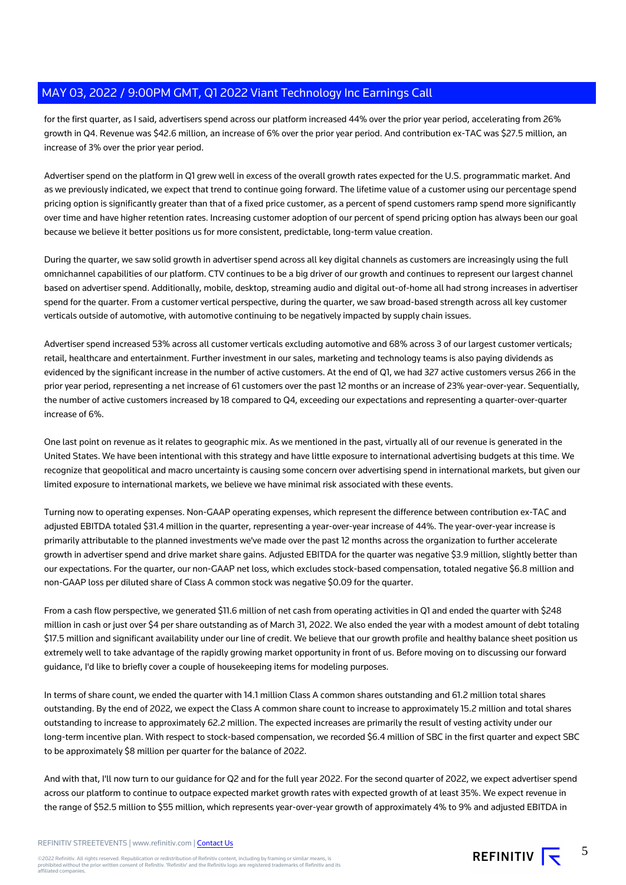for the first quarter, as I said, advertisers spend across our platform increased 44% over the prior year period, accelerating from 26% growth in Q4. Revenue was \$42.6 million, an increase of 6% over the prior year period. And contribution ex-TAC was \$27.5 million, an increase of 3% over the prior year period.

Advertiser spend on the platform in Q1 grew well in excess of the overall growth rates expected for the U.S. programmatic market. And as we previously indicated, we expect that trend to continue going forward. The lifetime value of a customer using our percentage spend pricing option is significantly greater than that of a fixed price customer, as a percent of spend customers ramp spend more significantly over time and have higher retention rates. Increasing customer adoption of our percent of spend pricing option has always been our goal because we believe it better positions us for more consistent, predictable, long-term value creation.

During the quarter, we saw solid growth in advertiser spend across all key digital channels as customers are increasingly using the full omnichannel capabilities of our platform. CTV continues to be a big driver of our growth and continues to represent our largest channel based on advertiser spend. Additionally, mobile, desktop, streaming audio and digital out-of-home all had strong increases in advertiser spend for the quarter. From a customer vertical perspective, during the quarter, we saw broad-based strength across all key customer verticals outside of automotive, with automotive continuing to be negatively impacted by supply chain issues.

Advertiser spend increased 53% across all customer verticals excluding automotive and 68% across 3 of our largest customer verticals; retail, healthcare and entertainment. Further investment in our sales, marketing and technology teams is also paying dividends as evidenced by the significant increase in the number of active customers. At the end of Q1, we had 327 active customers versus 266 in the prior year period, representing a net increase of 61 customers over the past 12 months or an increase of 23% year-over-year. Sequentially, the number of active customers increased by 18 compared to Q4, exceeding our expectations and representing a quarter-over-quarter increase of 6%.

One last point on revenue as it relates to geographic mix. As we mentioned in the past, virtually all of our revenue is generated in the United States. We have been intentional with this strategy and have little exposure to international advertising budgets at this time. We recognize that geopolitical and macro uncertainty is causing some concern over advertising spend in international markets, but given our limited exposure to international markets, we believe we have minimal risk associated with these events.

Turning now to operating expenses. Non-GAAP operating expenses, which represent the difference between contribution ex-TAC and adjusted EBITDA totaled \$31.4 million in the quarter, representing a year-over-year increase of 44%. The year-over-year increase is primarily attributable to the planned investments we've made over the past 12 months across the organization to further accelerate growth in advertiser spend and drive market share gains. Adjusted EBITDA for the quarter was negative \$3.9 million, slightly better than our expectations. For the quarter, our non-GAAP net loss, which excludes stock-based compensation, totaled negative \$6.8 million and non-GAAP loss per diluted share of Class A common stock was negative \$0.09 for the quarter.

From a cash flow perspective, we generated \$11.6 million of net cash from operating activities in Q1 and ended the quarter with \$248 million in cash or just over \$4 per share outstanding as of March 31, 2022. We also ended the year with a modest amount of debt totaling \$17.5 million and significant availability under our line of credit. We believe that our growth profile and healthy balance sheet position us extremely well to take advantage of the rapidly growing market opportunity in front of us. Before moving on to discussing our forward guidance, I'd like to briefly cover a couple of housekeeping items for modeling purposes.

In terms of share count, we ended the quarter with 14.1 million Class A common shares outstanding and 61.2 million total shares outstanding. By the end of 2022, we expect the Class A common share count to increase to approximately 15.2 million and total shares outstanding to increase to approximately 62.2 million. The expected increases are primarily the result of vesting activity under our long-term incentive plan. With respect to stock-based compensation, we recorded \$6.4 million of SBC in the first quarter and expect SBC to be approximately \$8 million per quarter for the balance of 2022.

And with that, I'll now turn to our guidance for Q2 and for the full year 2022. For the second quarter of 2022, we expect advertiser spend across our platform to continue to outpace expected market growth rates with expected growth of at least 35%. We expect revenue in the range of \$52.5 million to \$55 million, which represents year-over-year growth of approximately 4% to 9% and adjusted EBITDA in

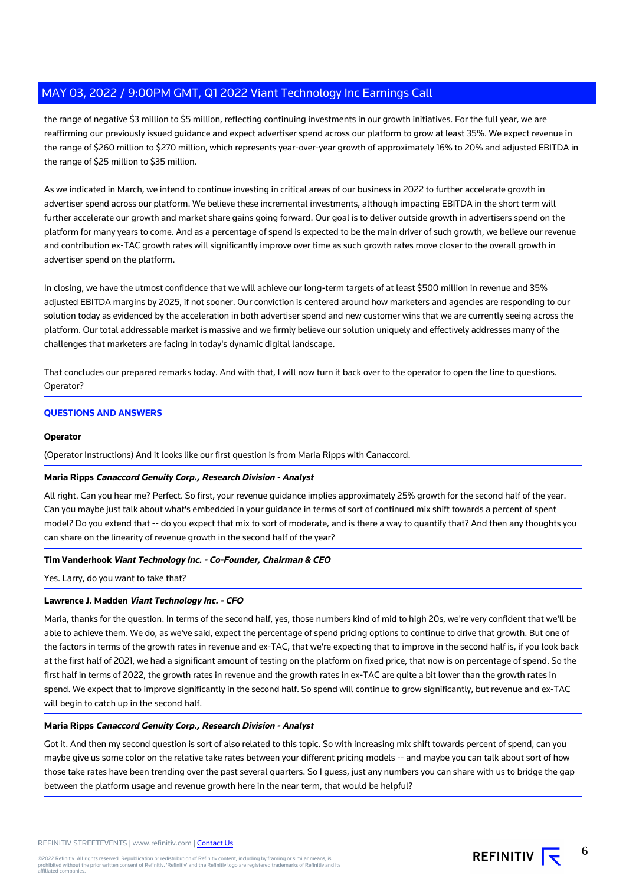the range of negative \$3 million to \$5 million, reflecting continuing investments in our growth initiatives. For the full year, we are reaffirming our previously issued guidance and expect advertiser spend across our platform to grow at least 35%. We expect revenue in the range of \$260 million to \$270 million, which represents year-over-year growth of approximately 16% to 20% and adjusted EBITDA in the range of \$25 million to \$35 million.

As we indicated in March, we intend to continue investing in critical areas of our business in 2022 to further accelerate growth in advertiser spend across our platform. We believe these incremental investments, although impacting EBITDA in the short term will further accelerate our growth and market share gains going forward. Our goal is to deliver outside growth in advertisers spend on the platform for many years to come. And as a percentage of spend is expected to be the main driver of such growth, we believe our revenue and contribution ex-TAC growth rates will significantly improve over time as such growth rates move closer to the overall growth in advertiser spend on the platform.

In closing, we have the utmost confidence that we will achieve our long-term targets of at least \$500 million in revenue and 35% adjusted EBITDA margins by 2025, if not sooner. Our conviction is centered around how marketers and agencies are responding to our solution today as evidenced by the acceleration in both advertiser spend and new customer wins that we are currently seeing across the platform. Our total addressable market is massive and we firmly believe our solution uniquely and effectively addresses many of the challenges that marketers are facing in today's dynamic digital landscape.

That concludes our prepared remarks today. And with that, I will now turn it back over to the operator to open the line to questions. Operator?

# **QUESTIONS AND ANSWERS**

### **Operator**

(Operator Instructions) And it looks like our first question is from Maria Ripps with Canaccord.

#### **Maria Ripps Canaccord Genuity Corp., Research Division - Analyst**

All right. Can you hear me? Perfect. So first, your revenue guidance implies approximately 25% growth for the second half of the year. Can you maybe just talk about what's embedded in your guidance in terms of sort of continued mix shift towards a percent of spent model? Do you extend that -- do you expect that mix to sort of moderate, and is there a way to quantify that? And then any thoughts you can share on the linearity of revenue growth in the second half of the year?

# **Tim Vanderhook Viant Technology Inc. - Co-Founder, Chairman & CEO**

Yes. Larry, do you want to take that?

# **Lawrence J. Madden Viant Technology Inc. - CFO**

Maria, thanks for the question. In terms of the second half, yes, those numbers kind of mid to high 20s, we're very confident that we'll be able to achieve them. We do, as we've said, expect the percentage of spend pricing options to continue to drive that growth. But one of the factors in terms of the growth rates in revenue and ex-TAC, that we're expecting that to improve in the second half is, if you look back at the first half of 2021, we had a significant amount of testing on the platform on fixed price, that now is on percentage of spend. So the first half in terms of 2022, the growth rates in revenue and the growth rates in ex-TAC are quite a bit lower than the growth rates in spend. We expect that to improve significantly in the second half. So spend will continue to grow significantly, but revenue and ex-TAC will begin to catch up in the second half.

# **Maria Ripps Canaccord Genuity Corp., Research Division - Analyst**

Got it. And then my second question is sort of also related to this topic. So with increasing mix shift towards percent of spend, can you maybe give us some color on the relative take rates between your different pricing models -- and maybe you can talk about sort of how those take rates have been trending over the past several quarters. So I guess, just any numbers you can share with us to bridge the gap between the platform usage and revenue growth here in the near term, that would be helpful?

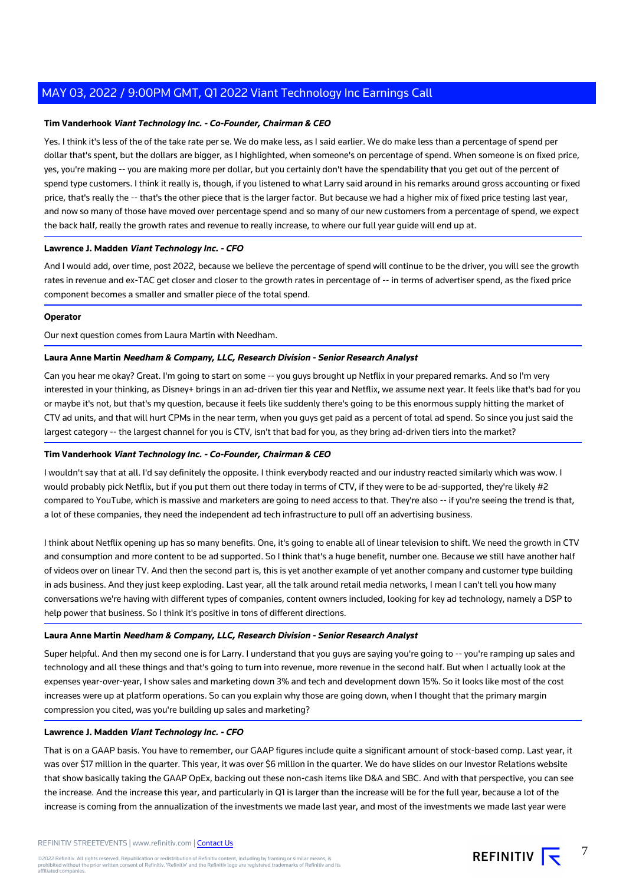## **Tim Vanderhook Viant Technology Inc. - Co-Founder, Chairman & CEO**

Yes. I think it's less of the of the take rate per se. We do make less, as I said earlier. We do make less than a percentage of spend per dollar that's spent, but the dollars are bigger, as I highlighted, when someone's on percentage of spend. When someone is on fixed price, yes, you're making -- you are making more per dollar, but you certainly don't have the spendability that you get out of the percent of spend type customers. I think it really is, though, if you listened to what Larry said around in his remarks around gross accounting or fixed price, that's really the -- that's the other piece that is the larger factor. But because we had a higher mix of fixed price testing last year, and now so many of those have moved over percentage spend and so many of our new customers from a percentage of spend, we expect the back half, really the growth rates and revenue to really increase, to where our full year guide will end up at.

### **Lawrence J. Madden Viant Technology Inc. - CFO**

And I would add, over time, post 2022, because we believe the percentage of spend will continue to be the driver, you will see the growth rates in revenue and ex-TAC get closer and closer to the growth rates in percentage of -- in terms of advertiser spend, as the fixed price component becomes a smaller and smaller piece of the total spend.

## **Operator**

Our next question comes from Laura Martin with Needham.

# **Laura Anne Martin Needham & Company, LLC, Research Division - Senior Research Analyst**

Can you hear me okay? Great. I'm going to start on some -- you guys brought up Netflix in your prepared remarks. And so I'm very interested in your thinking, as Disney+ brings in an ad-driven tier this year and Netflix, we assume next year. It feels like that's bad for you or maybe it's not, but that's my question, because it feels like suddenly there's going to be this enormous supply hitting the market of CTV ad units, and that will hurt CPMs in the near term, when you guys get paid as a percent of total ad spend. So since you just said the largest category -- the largest channel for you is CTV, isn't that bad for you, as they bring ad-driven tiers into the market?

#### **Tim Vanderhook Viant Technology Inc. - Co-Founder, Chairman & CEO**

I wouldn't say that at all. I'd say definitely the opposite. I think everybody reacted and our industry reacted similarly which was wow. I would probably pick Netflix, but if you put them out there today in terms of CTV, if they were to be ad-supported, they're likely #2 compared to YouTube, which is massive and marketers are going to need access to that. They're also -- if you're seeing the trend is that, a lot of these companies, they need the independent ad tech infrastructure to pull off an advertising business.

I think about Netflix opening up has so many benefits. One, it's going to enable all of linear television to shift. We need the growth in CTV and consumption and more content to be ad supported. So I think that's a huge benefit, number one. Because we still have another half of videos over on linear TV. And then the second part is, this is yet another example of yet another company and customer type building in ads business. And they just keep exploding. Last year, all the talk around retail media networks, I mean I can't tell you how many conversations we're having with different types of companies, content owners included, looking for key ad technology, namely a DSP to help power that business. So I think it's positive in tons of different directions.

# **Laura Anne Martin Needham & Company, LLC, Research Division - Senior Research Analyst**

Super helpful. And then my second one is for Larry. I understand that you guys are saying you're going to -- you're ramping up sales and technology and all these things and that's going to turn into revenue, more revenue in the second half. But when I actually look at the expenses year-over-year, I show sales and marketing down 3% and tech and development down 15%. So it looks like most of the cost increases were up at platform operations. So can you explain why those are going down, when I thought that the primary margin compression you cited, was you're building up sales and marketing?

#### **Lawrence J. Madden Viant Technology Inc. - CFO**

That is on a GAAP basis. You have to remember, our GAAP figures include quite a significant amount of stock-based comp. Last year, it was over \$17 million in the quarter. This year, it was over \$6 million in the quarter. We do have slides on our Investor Relations website that show basically taking the GAAP OpEx, backing out these non-cash items like D&A and SBC. And with that perspective, you can see the increase. And the increase this year, and particularly in Q1 is larger than the increase will be for the full year, because a lot of the increase is coming from the annualization of the investments we made last year, and most of the investments we made last year were

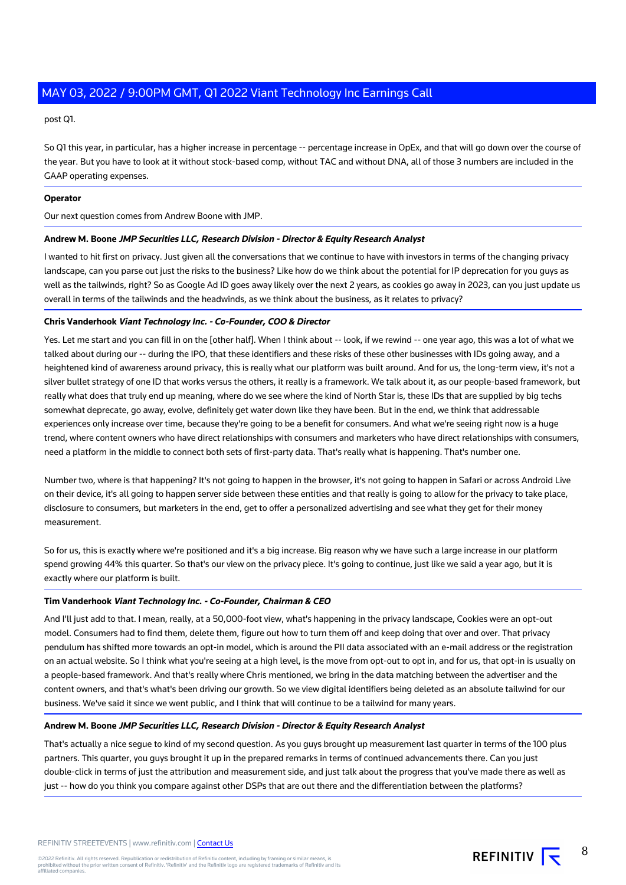post Q1.

So Q1 this year, in particular, has a higher increase in percentage -- percentage increase in OpEx, and that will go down over the course of the year. But you have to look at it without stock-based comp, without TAC and without DNA, all of those 3 numbers are included in the GAAP operating expenses.

# **Operator**

Our next question comes from Andrew Boone with JMP.

# **Andrew M. Boone JMP Securities LLC, Research Division - Director & Equity Research Analyst**

I wanted to hit first on privacy. Just given all the conversations that we continue to have with investors in terms of the changing privacy landscape, can you parse out just the risks to the business? Like how do we think about the potential for IP deprecation for you guys as well as the tailwinds, right? So as Google Ad ID goes away likely over the next 2 years, as cookies go away in 2023, can you just update us overall in terms of the tailwinds and the headwinds, as we think about the business, as it relates to privacy?

### **Chris Vanderhook Viant Technology Inc. - Co-Founder, COO & Director**

Yes. Let me start and you can fill in on the [other half]. When I think about -- look, if we rewind -- one year ago, this was a lot of what we talked about during our -- during the IPO, that these identifiers and these risks of these other businesses with IDs going away, and a heightened kind of awareness around privacy, this is really what our platform was built around. And for us, the long-term view, it's not a silver bullet strategy of one ID that works versus the others, it really is a framework. We talk about it, as our people-based framework, but really what does that truly end up meaning, where do we see where the kind of North Star is, these IDs that are supplied by big techs somewhat deprecate, go away, evolve, definitely get water down like they have been. But in the end, we think that addressable experiences only increase over time, because they're going to be a benefit for consumers. And what we're seeing right now is a huge trend, where content owners who have direct relationships with consumers and marketers who have direct relationships with consumers, need a platform in the middle to connect both sets of first-party data. That's really what is happening. That's number one.

Number two, where is that happening? It's not going to happen in the browser, it's not going to happen in Safari or across Android Live on their device, it's all going to happen server side between these entities and that really is going to allow for the privacy to take place, disclosure to consumers, but marketers in the end, get to offer a personalized advertising and see what they get for their money measurement.

So for us, this is exactly where we're positioned and it's a big increase. Big reason why we have such a large increase in our platform spend growing 44% this quarter. So that's our view on the privacy piece. It's going to continue, just like we said a year ago, but it is exactly where our platform is built.

#### **Tim Vanderhook Viant Technology Inc. - Co-Founder, Chairman & CEO**

And I'll just add to that. I mean, really, at a 50,000-foot view, what's happening in the privacy landscape, Cookies were an opt-out model. Consumers had to find them, delete them, figure out how to turn them off and keep doing that over and over. That privacy pendulum has shifted more towards an opt-in model, which is around the PII data associated with an e-mail address or the registration on an actual website. So I think what you're seeing at a high level, is the move from opt-out to opt in, and for us, that opt-in is usually on a people-based framework. And that's really where Chris mentioned, we bring in the data matching between the advertiser and the content owners, and that's what's been driving our growth. So we view digital identifiers being deleted as an absolute tailwind for our business. We've said it since we went public, and I think that will continue to be a tailwind for many years.

## **Andrew M. Boone JMP Securities LLC, Research Division - Director & Equity Research Analyst**

That's actually a nice segue to kind of my second question. As you guys brought up measurement last quarter in terms of the 100 plus partners. This quarter, you guys brought it up in the prepared remarks in terms of continued advancements there. Can you just double-click in terms of just the attribution and measurement side, and just talk about the progress that you've made there as well as just -- how do you think you compare against other DSPs that are out there and the differentiation between the platforms?

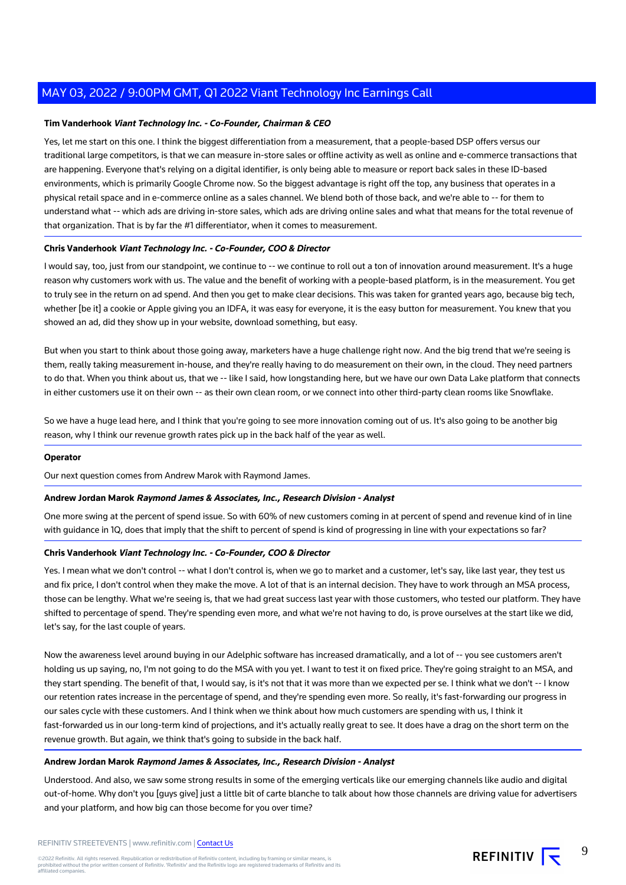## **Tim Vanderhook Viant Technology Inc. - Co-Founder, Chairman & CEO**

Yes, let me start on this one. I think the biggest differentiation from a measurement, that a people-based DSP offers versus our traditional large competitors, is that we can measure in-store sales or offline activity as well as online and e-commerce transactions that are happening. Everyone that's relying on a digital identifier, is only being able to measure or report back sales in these ID-based environments, which is primarily Google Chrome now. So the biggest advantage is right off the top, any business that operates in a physical retail space and in e-commerce online as a sales channel. We blend both of those back, and we're able to -- for them to understand what -- which ads are driving in-store sales, which ads are driving online sales and what that means for the total revenue of that organization. That is by far the #1 differentiator, when it comes to measurement.

### **Chris Vanderhook Viant Technology Inc. - Co-Founder, COO & Director**

I would say, too, just from our standpoint, we continue to -- we continue to roll out a ton of innovation around measurement. It's a huge reason why customers work with us. The value and the benefit of working with a people-based platform, is in the measurement. You get to truly see in the return on ad spend. And then you get to make clear decisions. This was taken for granted years ago, because big tech, whether [be it] a cookie or Apple giving you an IDFA, it was easy for everyone, it is the easy button for measurement. You knew that you showed an ad, did they show up in your website, download something, but easy.

But when you start to think about those going away, marketers have a huge challenge right now. And the big trend that we're seeing is them, really taking measurement in-house, and they're really having to do measurement on their own, in the cloud. They need partners to do that. When you think about us, that we -- like I said, how longstanding here, but we have our own Data Lake platform that connects in either customers use it on their own -- as their own clean room, or we connect into other third-party clean rooms like Snowflake.

So we have a huge lead here, and I think that you're going to see more innovation coming out of us. It's also going to be another big reason, why I think our revenue growth rates pick up in the back half of the year as well.

### **Operator**

Our next question comes from Andrew Marok with Raymond James.

#### **Andrew Jordan Marok Raymond James & Associates, Inc., Research Division - Analyst**

One more swing at the percent of spend issue. So with 60% of new customers coming in at percent of spend and revenue kind of in line with guidance in 1Q, does that imply that the shift to percent of spend is kind of progressing in line with your expectations so far?

#### **Chris Vanderhook Viant Technology Inc. - Co-Founder, COO & Director**

Yes. I mean what we don't control -- what I don't control is, when we go to market and a customer, let's say, like last year, they test us and fix price, I don't control when they make the move. A lot of that is an internal decision. They have to work through an MSA process, those can be lengthy. What we're seeing is, that we had great success last year with those customers, who tested our platform. They have shifted to percentage of spend. They're spending even more, and what we're not having to do, is prove ourselves at the start like we did, let's say, for the last couple of years.

Now the awareness level around buying in our Adelphic software has increased dramatically, and a lot of -- you see customers aren't holding us up saying, no, I'm not going to do the MSA with you yet. I want to test it on fixed price. They're going straight to an MSA, and they start spending. The benefit of that, I would say, is it's not that it was more than we expected per se. I think what we don't -- I know our retention rates increase in the percentage of spend, and they're spending even more. So really, it's fast-forwarding our progress in our sales cycle with these customers. And I think when we think about how much customers are spending with us, I think it fast-forwarded us in our long-term kind of projections, and it's actually really great to see. It does have a drag on the short term on the revenue growth. But again, we think that's going to subside in the back half.

#### **Andrew Jordan Marok Raymond James & Associates, Inc., Research Division - Analyst**

Understood. And also, we saw some strong results in some of the emerging verticals like our emerging channels like audio and digital out-of-home. Why don't you [guys give] just a little bit of carte blanche to talk about how those channels are driving value for advertisers and your platform, and how big can those become for you over time?